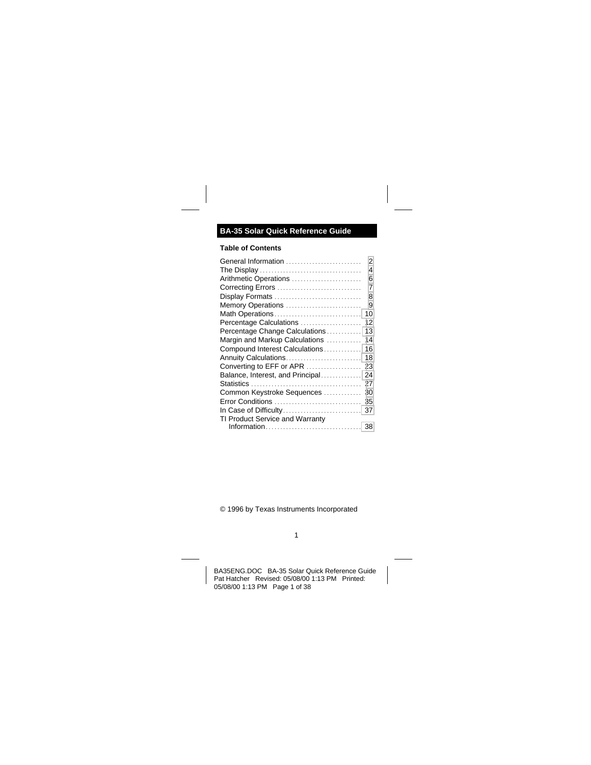# **BA-35 Solar Quick Reference Guide**

## **Table of Contents**

| General Information              | 2  |
|----------------------------------|----|
|                                  | 4  |
| Arithmetic Operations            | 6  |
| Correcting Errors                | 7  |
| Display Formats                  | 8  |
| Memory Operations                | 9  |
| Math Operations                  | 10 |
| Percentage Calculations          | 12 |
| Percentage Change Calculations   | 13 |
| Margin and Markup Calculations   | 14 |
| Compound Interest Calculations   | 16 |
| Annuity Calculations             | 18 |
| Converting to EFF or APR         | 23 |
| Balance, Interest, and Principal | 24 |
|                                  | 27 |
| Common Keystroke Sequences       | 30 |
| Error Conditions                 | 35 |
| In Case of Difficulty            | 37 |
| TI Product Service and Warranty  |    |
|                                  |    |
|                                  |    |

© 1996 by Texas Instruments Incorporated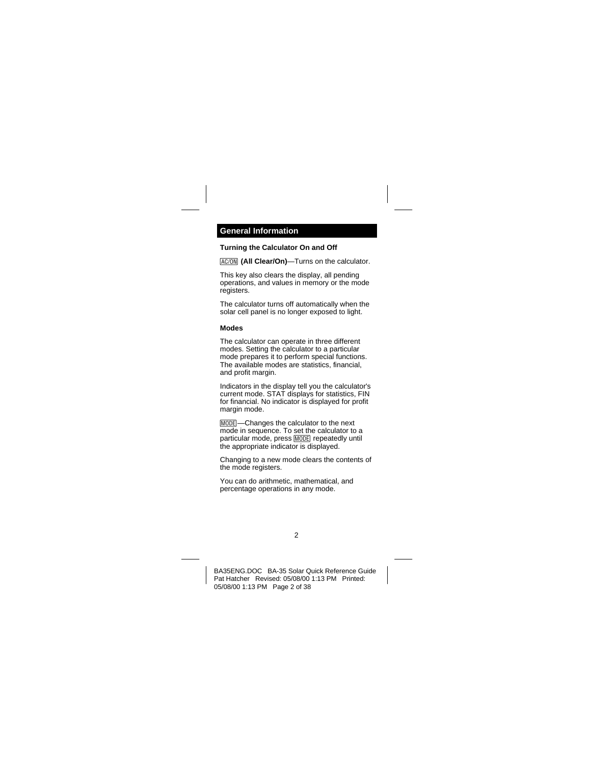### <span id="page-1-0"></span>**Turning the Calculator On and Off**

**IAC/ONI** (All Clear/On)—Turns on the calculator.

This key also clears the display, all pending operations, and values in memory or the mode registers.

The calculator turns off automatically when the solar cell panel is no longer exposed to light.

#### **Modes**

The calculator can operate in three different modes. Setting the calculator to a particular mode prepares it to perform special functions. The available modes are statistics, financial, and profit margin.

Indicators in the display tell you the calculator's current mode. STAT displays for statistics, FIN for financial. No indicator is displayed for profit margin mode.

MODE – Changes the calculator to the next mode in sequence. To set the calculator to a particular mode, press **MODE** repeatedly until the appropriate indicator is displayed.

Changing to a new mode clears the contents of the mode registers.

You can do arithmetic, mathematical, and percentage operations in any mode.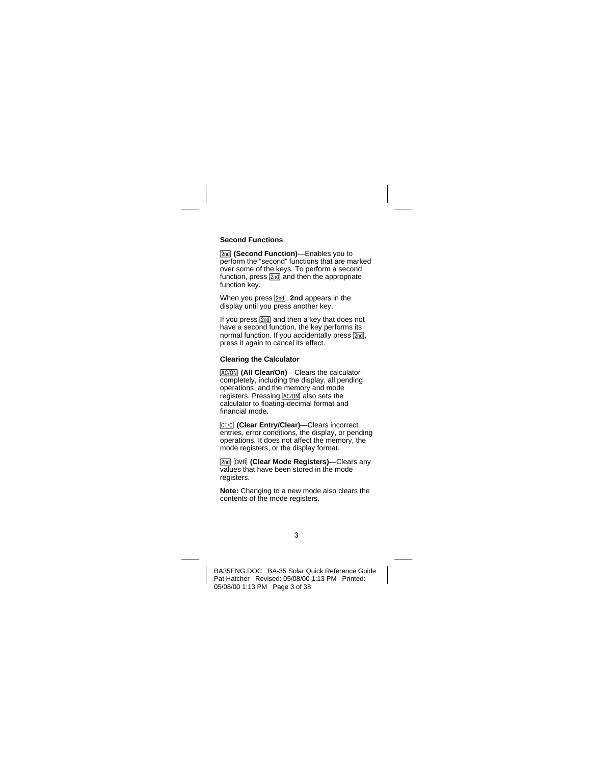## **Second Functions**

**[2nd] (Second Function)**—Enables you to perform the "second" functions that are marked over some of the keys. To perform a second function, press  $\sqrt{2nd}$  and then the appropriate function key.

When you press **[2nd]**, **2nd** appears in the display until you press another key.

If you press [2nd] and then a key that does not have a second function, the key performs its normal function. If you accidentally press  $[2nd]$ . press it again to cancel its effect.

#### **Clearing the Calculator**

**IAC/ONI** (All Clear/On)—Clears the calculator completely, including the display, all pending operations, and the memory and mode registers. Pressing  $\overline{AC/ON}$  also sets the calculator to floating-decimal format and financial mode.

**[CE/C]** (Clear Entry/Clear)—Clears incorrect entries, error conditions, the display, or pending operations. It does not affect the memory, the mode registers, or the display format.

**[2nd]** [CMR] (Clear Mode Registers)—Clears any values that have been stored in the mode registers.

**Note:** Changing to a new mode also clears the contents of the mode registers.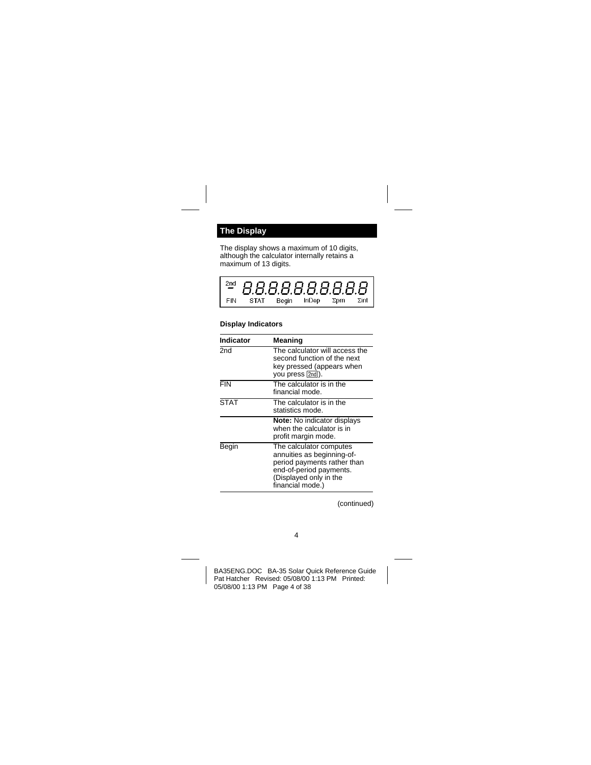# <span id="page-3-0"></span>**The Display**

The display shows a maximum of 10 digits, although the calculator internally retains a maximum of 13 digits.

|     | <del>2¤</del> 8.8.8.8.8.8.8.8.8 |                       |  |
|-----|---------------------------------|-----------------------|--|
| FIN | STAT                            | Begin InDep ∑prn ∑int |  |

### **Display Indicators**

| Indicator   | Meaning                                                                                                                                                       |
|-------------|---------------------------------------------------------------------------------------------------------------------------------------------------------------|
| 2nd         | The calculator will access the<br>second function of the next<br>key pressed (appears when<br>you press [2nd]).                                               |
| <b>FIN</b>  | The calculator is in the<br>financial mode.                                                                                                                   |
| <b>STAT</b> | The calculator is in the<br>statistics mode.                                                                                                                  |
|             | <b>Note:</b> No indicator displays<br>when the calculator is in<br>profit margin mode.                                                                        |
| Begin       | The calculator computes<br>annuities as beginning-of-<br>period payments rather than<br>end-of-period payments.<br>(Displayed only in the<br>financial mode.) |

(continued)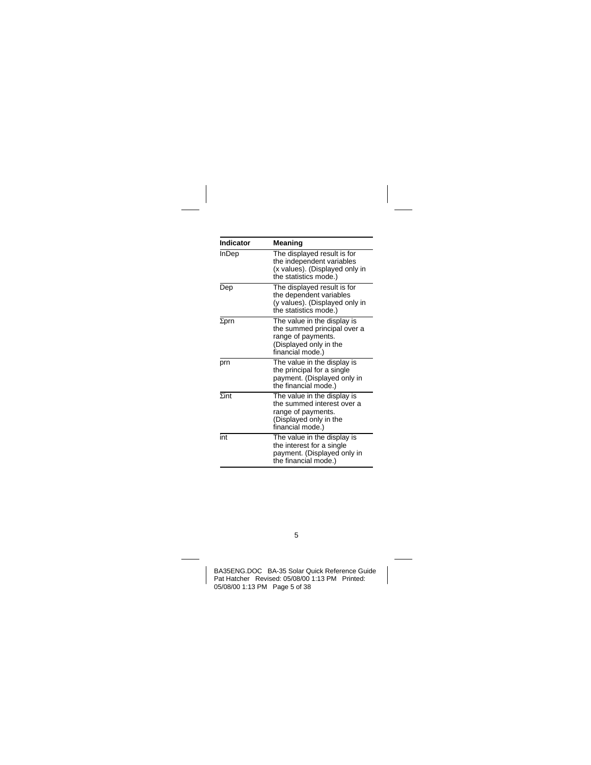| Indicator    | Meaning                                                                                                                        |
|--------------|--------------------------------------------------------------------------------------------------------------------------------|
| <b>InDep</b> | The displayed result is for<br>the independent variables<br>(x values). (Displayed only in<br>the statistics mode.)            |
| Dep          | The displayed result is for<br>the dependent variables<br>(y values). (Displayed only in<br>the statistics mode.)              |
| $\Sigma$ prn | The value in the display is<br>the summed principal over a<br>range of payments.<br>(Displayed only in the<br>financial mode.) |
| prn          | The value in the display is<br>the principal for a single<br>payment. (Displayed only in<br>the financial mode.)               |
| $\Sigma$ int | The value in the display is<br>the summed interest over a<br>range of payments.<br>(Displayed only in the<br>financial mode.)  |
| int          | The value in the display is<br>the interest for a single<br>payment. (Displayed only in<br>the financial mode.)                |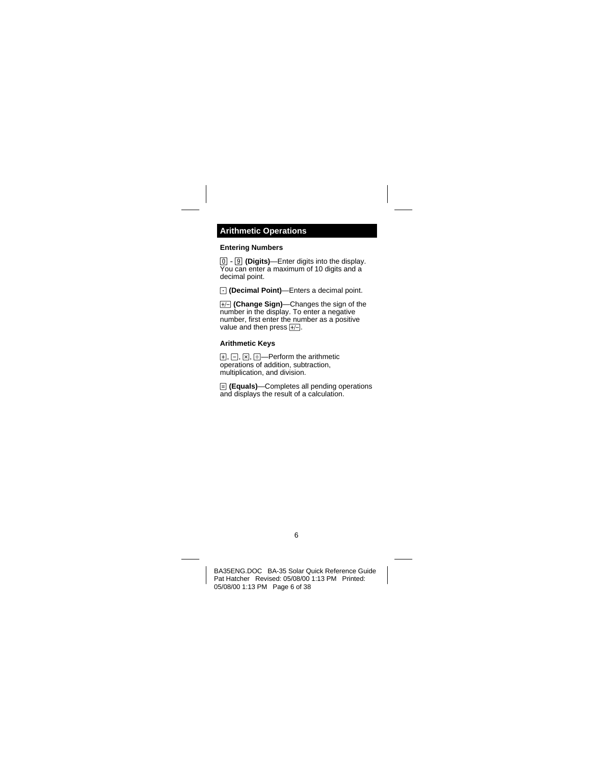# <span id="page-5-0"></span>**Arithmetic Operations**

### **Entering Numbers**

6 - ? **(Digits)**—Enter digits into the display.  $\overline{Y}$ ou can enter a maximum of 10 digits and a decimal point.

A **(Decimal Point)**—Enters a decimal point.

**(F/-1)** (Change Sign)—Changes the sign of the number in the display. To enter a negative number, first enter the number as a positive value and then press  $H$ .

#### **Arithmetic Keys**

 $F$ ,  $F$ ,  $F$ ,  $F$  arithmetic operations of addition, subtraction, multiplication, and division.

l **(Equals)**—Completes all pending operations and displays the result of a calculation.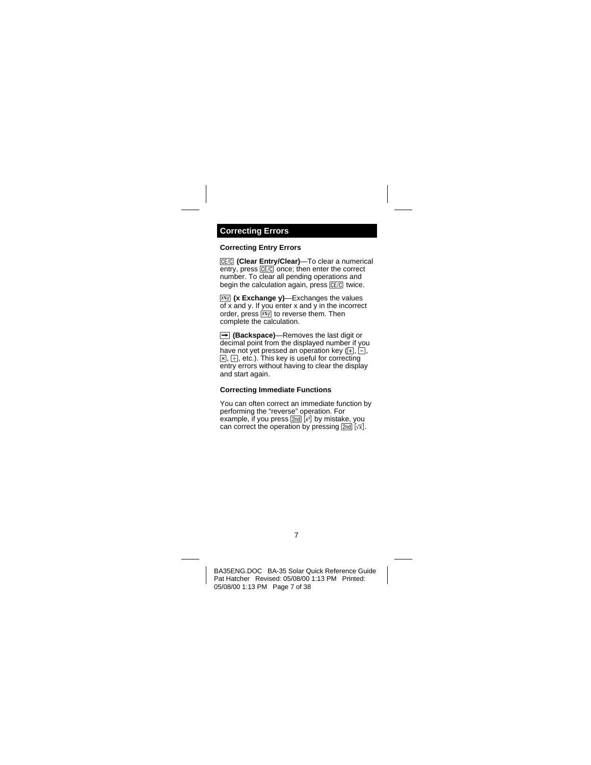### <span id="page-6-0"></span>**Correcting Entry Errors**

**[CE/C]** (Clear Entry/Clear)—To clear a numerical  $entrv.$  press  $E\left[\frac{CE}{C}\right]$  once; then enter the correct number. To clear all pending operations and begin the calculation again, press CE/C twice.

**(XEXCHANGE V)**—Exchanges the values of x and y. If you enter x and y in the incorrect order, press  $\overline{xy}$  to reverse them. Then complete the calculation.

v **(Backspace)**—Removes the last digit or decimal point from the displayed number if you have not yet pressed an operation key  $(F, \overline{F})$ ,  $\sqrt{a}$ .  $\div$  etc.). This key is useful for correcting entry errors without having to clear the display and start again.

### **Correcting Immediate Functions**

You can often correct an immediate function by performing the "reverse" operation. For example, if you press  $[2nd]$   $[x^2]$  by mistake, you can correct the operation by pressing  $\boxed{2nd}$   $\boxed{\sqrt{x}}$ .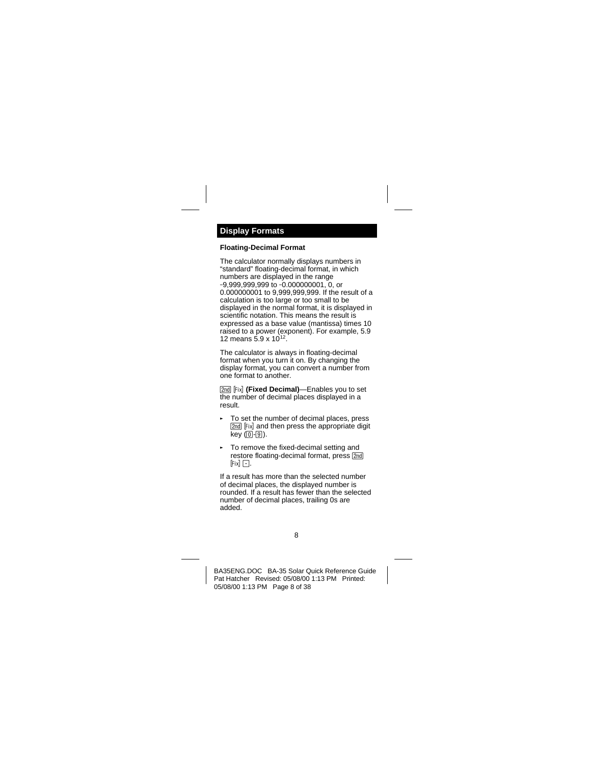## <span id="page-7-0"></span>**Floating-Decimal Format**

The calculator normally displays numbers in "standard" floating-decimal format, in which numbers are displayed in the range -9,999,999,999 to -0.000000001, 0, or 0.000000001 to 9,999,999,999. If the result of a calculation is too large or too small to be displayed in the normal format, it is displayed in scientific notation. This means the result is expressed as a base value (mantissa) times 10 raised to a power (exponent). For example, 5.9 12 means 5.9 x 1012.

The calculator is always in floating-decimal format when you turn it on. By changing the display format, you can convert a number from one format to another.

**[2nd]** [Fix] **(Fixed Decimal)**—Enables you to set the number of decimal places displayed in a result.

- § To set the number of decimal places, press [2nd] [Fix] and then press the appropriate digit  $kev(0-9)$ .
- § To remove the fixed-decimal setting and restore floating-decimal format, press [2nd]  $[Fix]$   $\Box$ .

If a result has more than the selected number of decimal places, the displayed number is rounded. If a result has fewer than the selected number of decimal places, trailing 0s are added.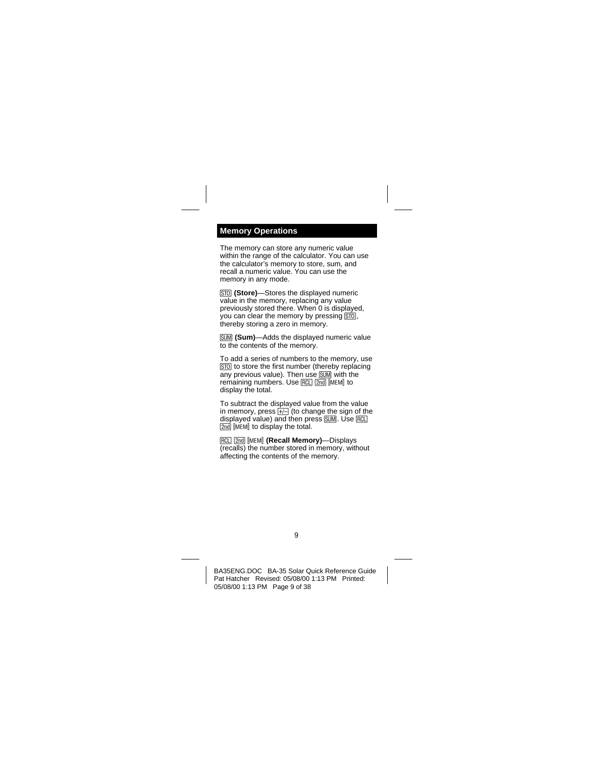## <span id="page-8-0"></span>**Memory Operations**

The memory can store any numeric value within the range of the calculator. You can use the calculator's memory to store, sum, and recall a numeric value. You can use the memory in any mode.

**[STO]** (Store)-Stores the displayed numeric value in the memory, replacing any value previously stored there. When 0 is displayed, you can clear the memory by pressing  $\overline{ST0}$ , thereby storing a zero in memory.

**SUM (Sum)**—Adds the displayed numeric value to the contents of the memory.

To add a series of numbers to the memory, use **[STO]** to store the first number (thereby replacing  $\overline{anv}$  previous value). Then use  $\overline{sum}$  with the remaining numbers. Use RCL 2nd IMEMI to display the total.

To subtract the displayed value from the value in memory, press  $H_1$  (to change the sign of the displayed value) and then press SUM. Use RCL **2nd liment to display the total.** 

RCL 2nd [MEM] (Recall Memory)-Displays (recalls) the number stored in memory, without affecting the contents of the memory.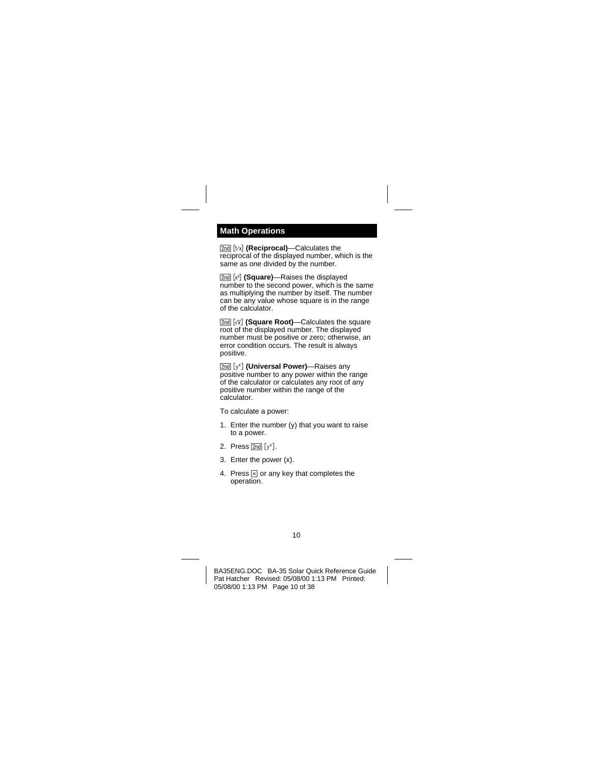## <span id="page-9-0"></span>**Math Operations**

[2nd] [1/x] **(Reciprocal)**—Calculates the reciprocal of the displayed number, which is the same as one divided by the number.

[2nd] [x<sup>2</sup>] (Square)—Raises the displayed number to the second power, which is the same as multiplying the number by itself. The number can be any value whose square is in the range of the calculator.

**[2nd]** [ $\sqrt{x}$ ] (Square Root)—Calculates the square root of the displayed number. The displayed number must be positive or zero; otherwise, an error condition occurs. The result is always positive.

**[2nd]** [y<sup>x</sup>] **(Universal Power)**—Raises any positive number to any power within the range of the calculator or calculates any root of any positive number within the range of the calculator.

To calculate a power:

- 1. Enter the number (y) that you want to raise to a power.
- 2. Press  $[2nd] [y^x]$ .
- 3. Enter the power (x).
- 4. Press  $\equiv$  or any key that completes the operation.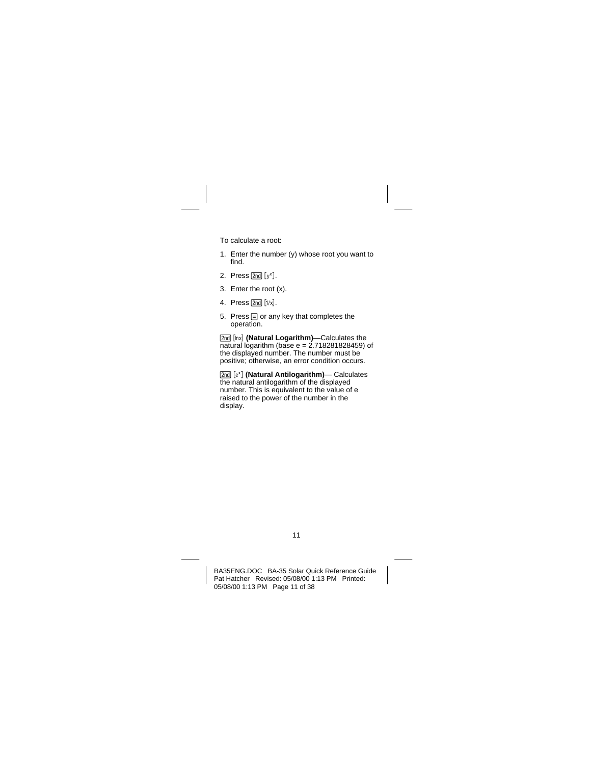To calculate a root:

- 1. Enter the number (y) whose root you want to find.
- 2. Press  $[2nd] [v^x]$ .
- 3. Enter the root (x).
- 4. Press  $\sqrt{2nd}$   $\lceil 1/x \rceil$ .
- 5. Press  $\equiv$  or any key that completes the operation.

[2nd] [lnx] (Natural Logarithm)—Calculates the  $\overline{a}$  natural logarithm (base e = 2.718281828459) of the displayed number. The number must be positive; otherwise, an error condition occurs.

**[2nd]** [e<sup>x</sup>] **(Natural Antilogarithm)— Calculates** the natural antilogarithm of the displayed number. This is equivalent to the value of e raised to the power of the number in the display.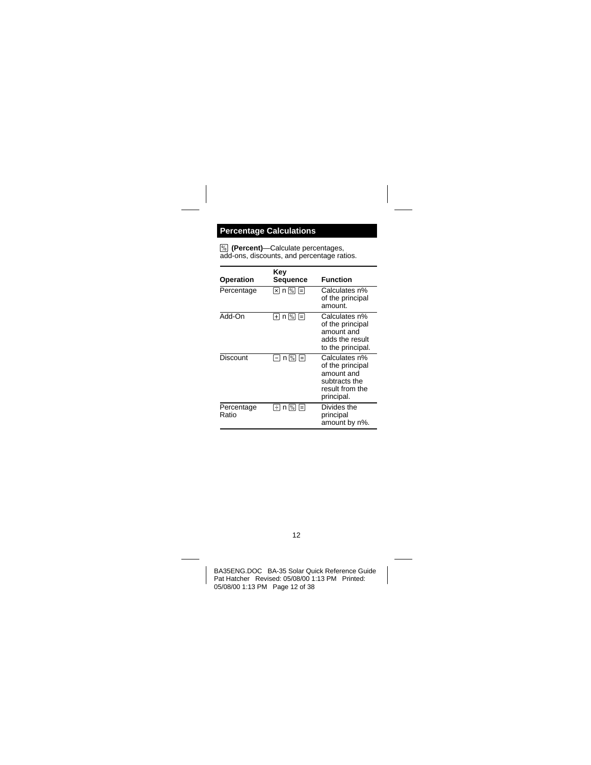# <span id="page-11-0"></span>**Percentage Calculations**

**[%]** (Percent)-Calculate percentages, add-ons, discounts, and percentage ratios.

| Operation           | Kev<br>Sequence     | <b>Function</b>                                                                                   |
|---------------------|---------------------|---------------------------------------------------------------------------------------------------|
| Percentage          | 冈 n % 日             | Calculates n%<br>of the principal<br>amount.                                                      |
| Add-On              | H n 网 F             | Calculates n%<br>of the principal<br>amount and<br>adds the result<br>to the principal.           |
| Discount            | n M F               | Calculates n%<br>of the principal<br>amount and<br>subtracts the<br>result from the<br>principal. |
| Percentage<br>Ratio | $n \sqrt{2}$<br>l÷۱ | Divides the<br>principal<br>amount by n%.                                                         |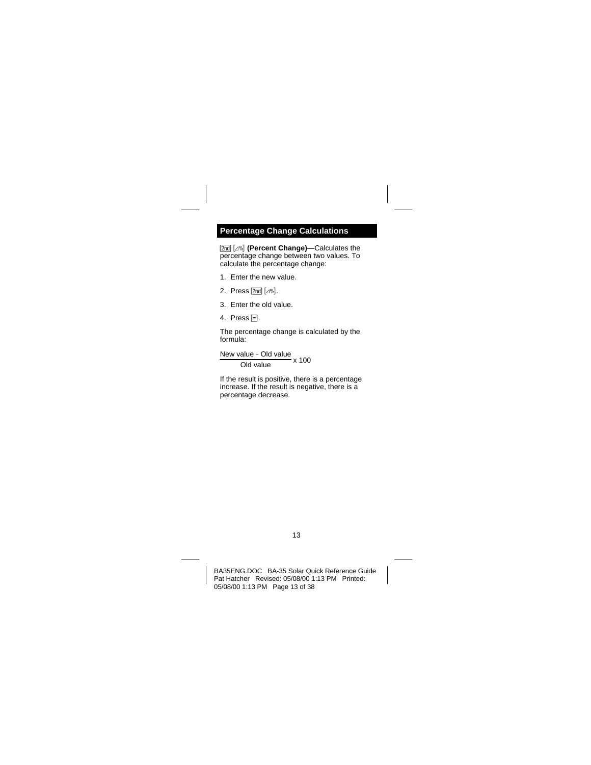## <span id="page-12-0"></span>**Percentage Change Calculations**

0 4 **(Percent Change)**—Calculates the percentage change between two values. To calculate the percentage change:

- 1. Enter the new value.
- 2. Press  $\boxed{2nd}$   $\boxed{4\%}$ .
- 3. Enter the old value.
- 4. Press  $\Xi$ .

The percentage change is calculated by the formula:

New value - Old value<br>Old value x 100

If the result is positive, there is a percentage increase. If the result is negative, there is a percentage decrease.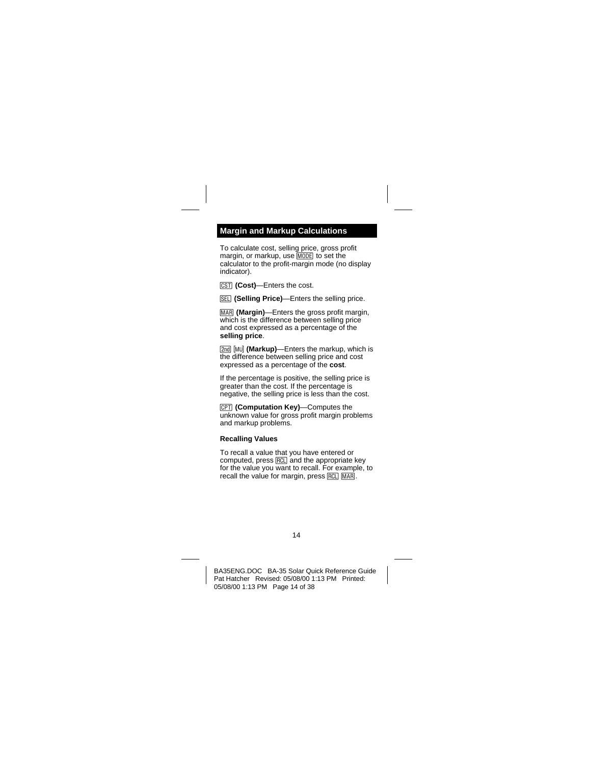# <span id="page-13-0"></span>**Margin and Markup Calculations**

To calculate cost, selling price, gross profit margin, or markup, use  $M$ <sub>0</sub>  $\overline{D}$  to set the calculator to the profit-margin mode (no display indicator).



**[SEL]** (Selling Price)—Enters the selling price.

**MAR (Margin)**—Enters the gross profit margin, which is the difference between selling price and cost expressed as a percentage of the **selling price**.

[2nd] [MU] (Markup)—Enters the markup, which is the difference between selling price and cost expressed as a percentage of the **cost**.

If the percentage is positive, the selling price is greater than the cost. If the percentage is negative, the selling price is less than the cost.

1**(Computation Key)**—Computes the unknown value for gross profit margin problems and markup problems.

#### **Recalling Values**

To recall a value that you have entered or computed, press  $\overline{RCL}$  and the appropriate key for the value you want to recall. For example, to recall the value for margin, press RCL MARI.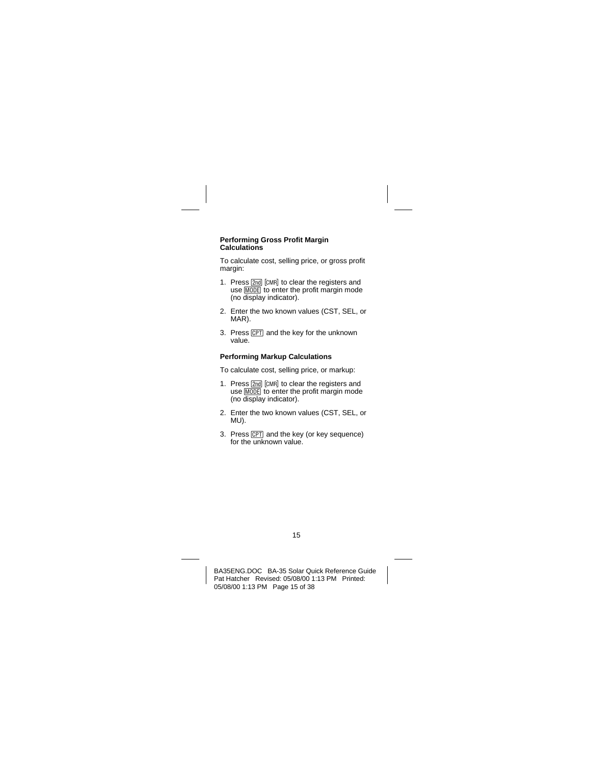#### **Performing Gross Profit Margin Calculations**

To calculate cost, selling price, or gross profit margin:

- 1. Press 2nd [CMR] to clear the registers and use MODE to enter the profit margin mode (no display indicator).
- 2. Enter the two known values (CST, SEL, or MAR).
- 3. Press  $\sqrt{CPT}$  and the key for the unknown value.

## **Performing Markup Calculations**

To calculate cost, selling price, or markup:

- 1. Press **[2nd]** [CMR] to clear the registers and use  $\overline{\text{MDDE}}$  to enter the profit margin mode (no display indicator).
- 2. Enter the two known values (CST, SEL, or MU).
- 3. Press CPT and the key (or key sequence) for the unknown value.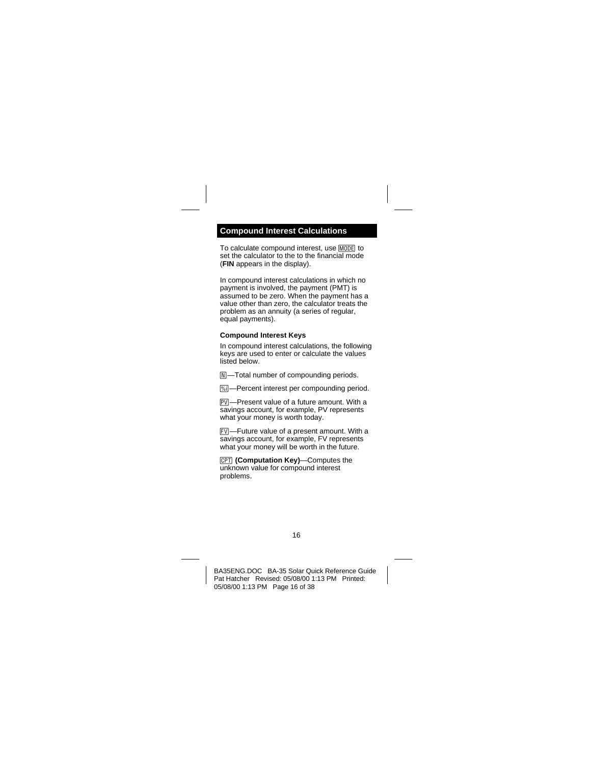## <span id="page-15-0"></span>**Compound Interest Calculations**

To calculate compound interest, use MODE to set the calculator to the to the financial mode (**FIN** appears in the display).

In compound interest calculations in which no payment is involved, the payment (PMT) is assumed to be zero. When the payment has a value other than zero, the calculator treats the problem as an annuity (a series of regular, equal payments).

## **Compound Interest Keys**

In compound interest calculations, the following keys are used to enter or calculate the values listed below.

 $\mathbb{N}$ -Total number of compounding periods.

**Mil-Percent interest per compounding period.** 

**PVI**—Present value of a future amount. With a savings account, for example, PV represents what your money is worth today.

FVI-Future value of a present amount. With a savings account, for example, FV represents what your money will be worth in the future.

1**(Computation Key)**—Computes the unknown value for compound interest problems.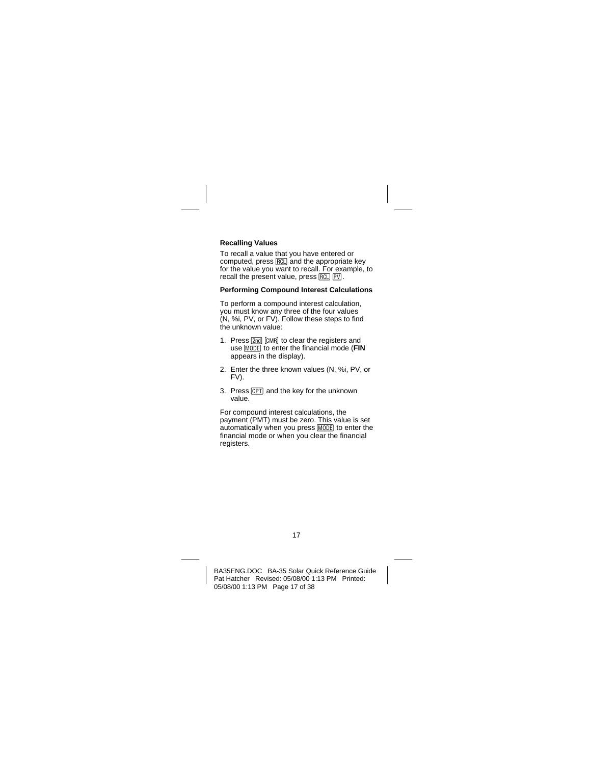## **Recalling Values**

To recall a value that you have entered or  $computed$ , press  $RCD$  and the appropriate key for the value you want to recall. For example, to recall the present value, press  $RCL$   $PVI$ .

## **Performing Compound Interest Calculations**

To perform a compound interest calculation, you must know any three of the four values (N, %i, PV, or FV). Follow these steps to find the unknown value:

- 1. Press  $\boxed{2nd}$   $\boxed{CMR}$  to clear the registers and use **MODEL** to enter the financial mode (**FIN** appears in the display).
- 2. Enter the three known values (N, %i, PV, or FV).
- 3. Press  $\overline{CPT}$  and the key for the unknown value.

For compound interest calculations, the payment (PMT) must be zero. This value is set automatically when you press MODE to enter the financial mode or when you clear the financial registers.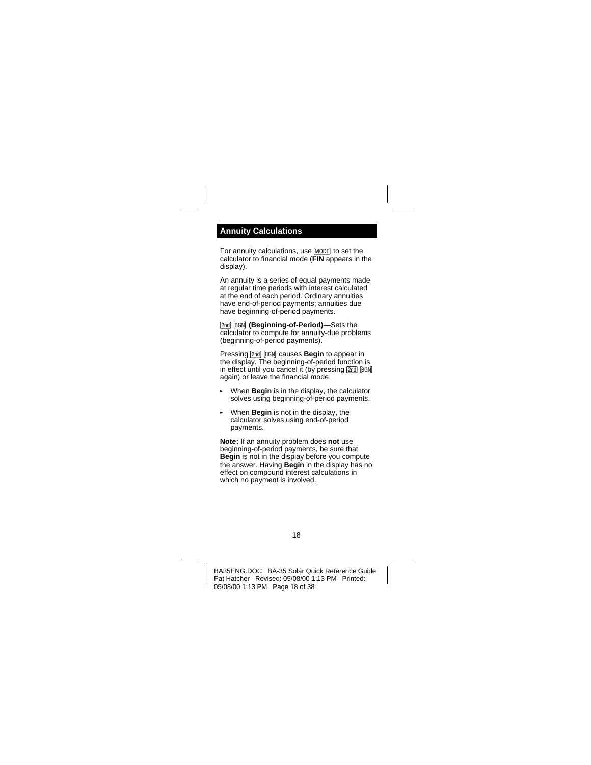## <span id="page-17-0"></span>**Annuity Calculations**

For annuity calculations, use **MODE** to set the calculator to financial mode (**FIN** appears in the display).

An annuity is a series of equal payments made at regular time periods with interest calculated at the end of each period. Ordinary annuities have end-of-period payments; annuities due have beginning-of-period payments.

**[2nd] [BGN] (Beginning-of-Period)**—Sets the calculator to compute for annuity-due problems (beginning-of-period payments).

Pressing **[2nd]** [BGN] causes **Begin** to appear in the display. The beginning-of-period function is in effect until you cancel it (by pressing 2nd [BGN] again) or leave the financial mode.

- § When **Begin** is in the display, the calculator solves using beginning-of-period payments.
- § When **Begin** is not in the display, the calculator solves using end-of-period payments.

**Note:** If an annuity problem does **not** use beginning-of-period payments, be sure that **Begin** is not in the display before you compute the answer. Having **Begin** in the display has no effect on compound interest calculations in which no payment is involved.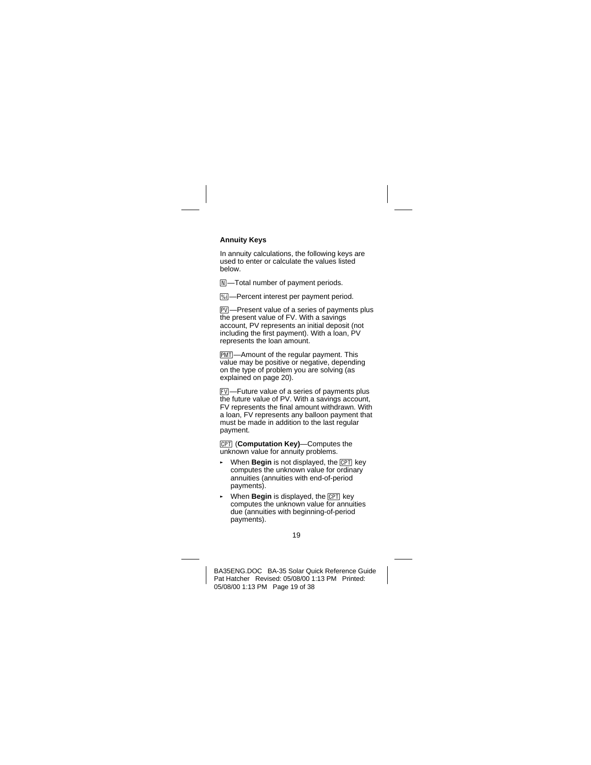## **Annuity Keys**

In annuity calculations, the following keys are used to enter or calculate the values listed below.

 $\boxed{\mathbb{N}}$ -Total number of payment periods.

**Wil**—Percent interest per payment period.

**FV**—Present value of a series of payments plus the present value of FV. With a savings account, PV represents an initial deposit (not including the first payment). With a loan, PV represents the loan amount.

**PMT**—Amount of the regular payment. This value may be positive or negative, depending on the type of problem you are solving (as explained on page 20).

FVI-Future value of a series of payments plus the future value of PV. With a savings account, FV represents the final amount withdrawn. With a loan, FV represents any balloon payment that must be made in addition to the last regular payment.

**[CPT]** (**Computation Key**)—Computes the unknown value for annuity problems.

- When Begin is not displayed, the **CPT** key computes the unknown value for ordinary annuities (annuities with end-of-period payments).
- When **Begin** is displayed, the CPT key computes the unknown value for annuities due (annuities with beginning-of-period payments).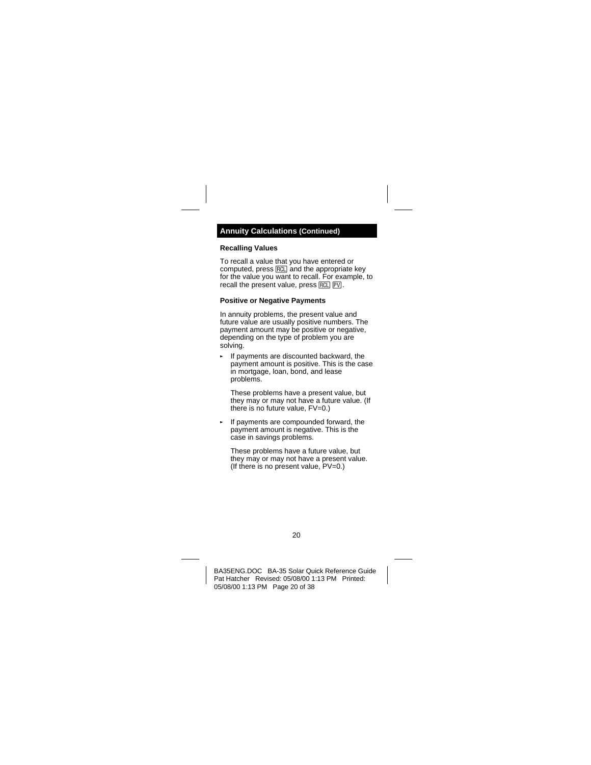### **Recalling Values**

To recall a value that you have entered or computed, press  $RCL$  and the appropriate key for the value you want to recall. For example, to recall the present value, press  $RCL$   $PV$ .

#### **Positive or Negative Payments**

In annuity problems, the present value and future value are usually positive numbers. The payment amount may be positive or negative, depending on the type of problem you are solving.

If payments are discounted backward, the payment amount is positive. This is the case in mortgage, loan, bond, and lease problems.

These problems have a present value, but they may or may not have a future value. (If there is no future value, FV=0.)

If payments are compounded forward, the payment amount is negative. This is the case in savings problems.

These problems have a future value, but they may or may not have a present value. (If there is no present value, PV=0.)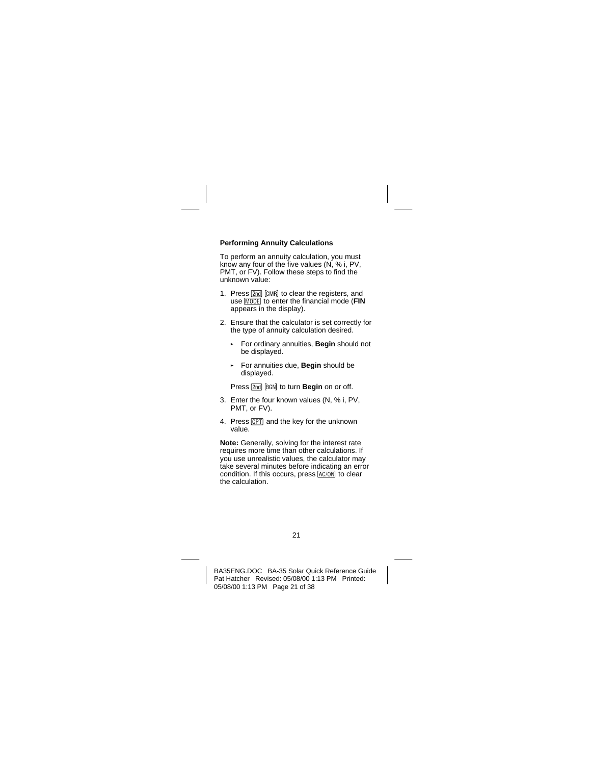## **Performing Annuity Calculations**

To perform an annuity calculation, you must know any four of the five values (N, % i, PV, PMT, or FV). Follow these steps to find the unknown value:

- 1. Press **2nd** [CMR] to clear the registers, and use **MODE** to enter the financial mode (**FIN** appears in the display).
- 2. Ensure that the calculator is set correctly for the type of annuity calculation desired.
	- § For ordinary annuities, **Begin** should not be displayed.
	- § For annuities due, **Begin** should be displayed.

Press **[2nd] BGN**<sup>1</sup> to turn **Begin** on or off.

- 3. Enter the four known values (N, % i, PV, PMT, or FV).
- 4. Press CPT and the key for the unknown value.

**Note:** Generally, solving for the interest rate requires more time than other calculations. If you use unrealistic values, the calculator may take several minutes before indicating an error condition. If this occurs, press  $\overline{AC/ON}$  to clear the calculation.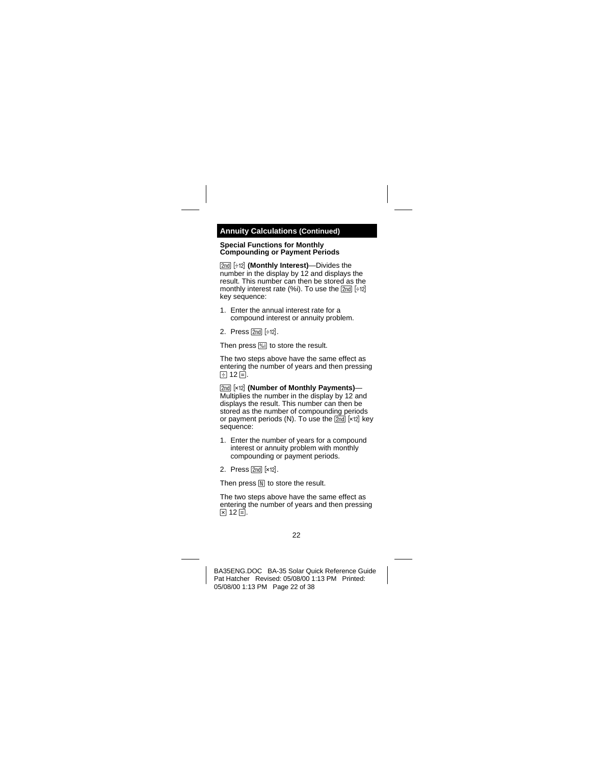## **Annuity Calculations (Continued)**

#### **Special Functions for Monthly Compounding or Payment Periods**

**[2nd]** [ $\div$ 12] **(Monthly Interest)**—Divides the number in the display by 12 and displays the result. This number can then be stored as the monthly interest rate  $(%i)$ . To use the  $[2nd]$   $[+12]$ key sequence:

- 1. Enter the annual interest rate for a compound interest or annuity problem.
- 2. Press  $\boxed{2nd}$   $\div 12$ .

Then press **Mill** to store the result.

The two steps above have the same effect as entering the number of years and then pressing E 12 E.

**[2nd] [x12] (Number of Monthly Payments)—** Multiplies the number in the display by 12 and displays the result. This number can then be stored as the number of compounding periods or payment periods (N). To use the  $\boxed{2nd}$  [×12] key sequence:

- 1. Enter the number of years for a compound interest or annuity problem with monthly compounding or payment periods.
- 2. Press  $\boxed{2nd}$   $\boxed{\times 12}$ .

Then press  $\mathbb N$  to store the result.

The two steps above have the same effect as entering the number of years and then pressing  $\boxtimes$  12  $\boxdot$ .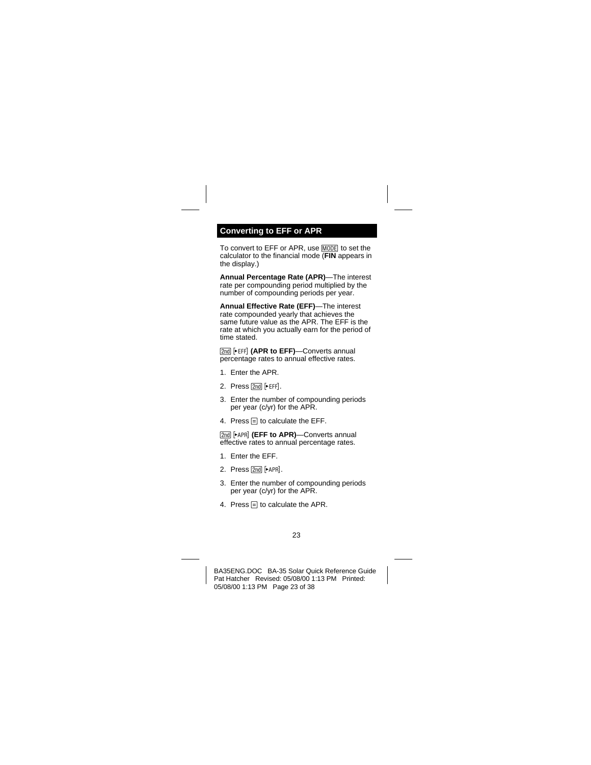# <span id="page-22-0"></span>**Converting to EFF or APR**

To convert to EFF or APR, use MODE to set the calculator to the financial mode (**FIN** appears in the display.)

**Annual Percentage Rate (APR)**—The interest rate per compounding period multiplied by the number of compounding periods per year.

**Annual Effective Rate (EFF)**—The interest rate compounded yearly that achieves the same future value as the APR. The EFF is the rate at which you actually earn for the period of time stated.

**[2nd] [EFF] (APR to EFF)-Converts annual** percentage rates to annual effective rates.

- 1. Enter the APR.
- 2. Press  $[2nd]$  [PEFF].
- 3. Enter the number of compounding periods per year (c/yr) for the APR.
- 4. Press  $\equiv$  to calculate the EFF.

[2nd] [►APR] (EFF to APR)—Converts annual effective rates to annual percentage rates.

- 1. Enter the EFF.
- 2. Press  $[2nd]$   $\blacktriangleright$  APR].
- 3. Enter the number of compounding periods per year (c/yr) for the APR.
- 4. Press  $\equiv$  to calculate the APR.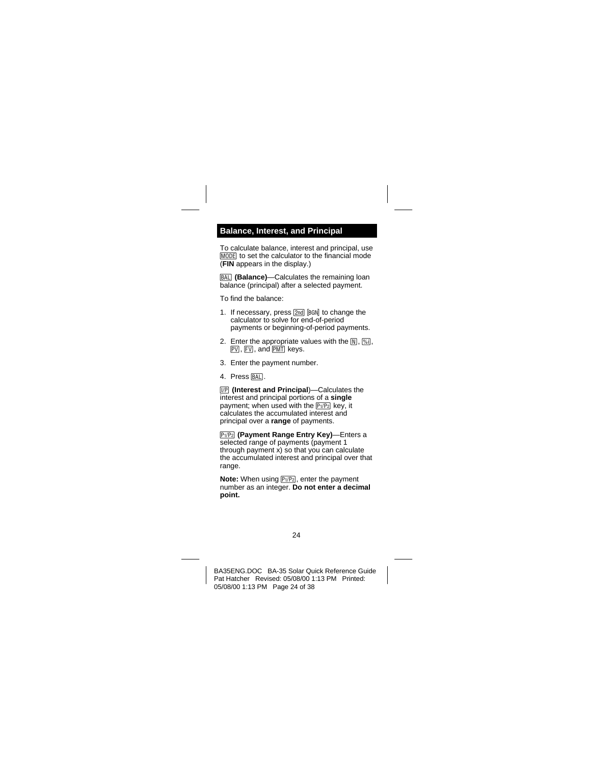## <span id="page-23-0"></span>**Balance, Interest, and Principal**

To calculate balance, interest and principal, use **MODE** to set the calculator to the financial mode (**FIN** appears in the display.)

**BALL** (Balance)—Calculates the remaining loan balance (principal) after a selected payment.

To find the balance:

- 1. If necessary, press  $\boxed{2nd}$   $\boxed{BGN}$  to change the calculator to solve for end-of-period payments or beginning-of-period payments.
- 2. Enter the appropriate values with the  $\overline{N}$ .  $\overline{\%}$ . PVI. FVI. and PMTI keys.
- 3. Enter the payment number.
- 4. Press BAL.

**IP (Interest and Principal)—Calculates the** interest and principal portions of a **single** payment; when used with the  $\boxed{P_1/P_2}$  key, it calculates the accumulated interest and principal over a **range** of payments.

**P<sub>1</sub>/P<sub>2</sub>** (Payment Range Entry Key)—Enters a selected range of payments (payment 1 through payment x) so that you can calculate the accumulated interest and principal over that range.

**Note:** When using  $P_1/P_2$ , enter the payment number as an integer. **Do not enter a decimal point.**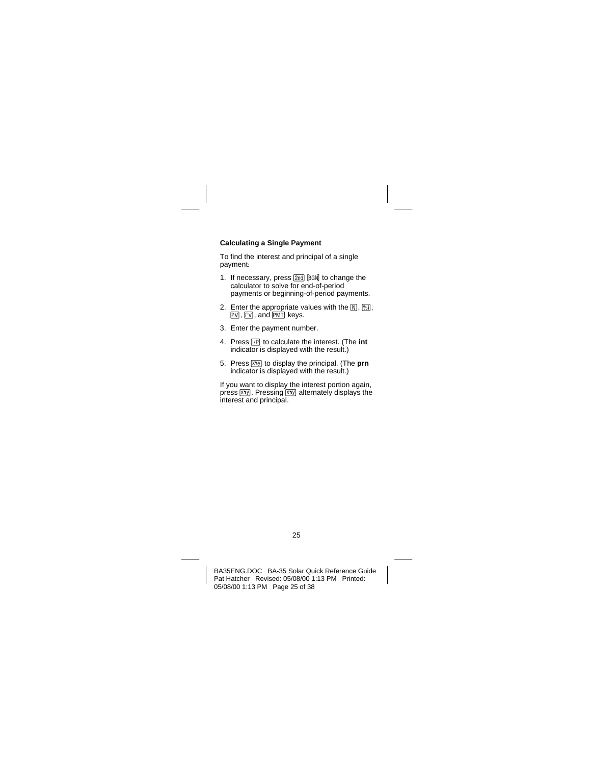## **Calculating a Single Payment**

To find the interest and principal of a single payment:

- 1. If necessary, press  $[2nd]$   $[BA]$  to change the calculator to solve for end-of-period payments or beginning-of-period payments.
- 2. Enter the appropriate values with the  $\overline{N}$ ,  $\overline{\gamma_{01}}$ ,  $FV$ ,  $FV$ , and  $FV$  keys.
- 3. Enter the payment number.
- 4. Press  $\boxed{VP}$  to calculate the interest. (The int indicator is displayed with the result.)
- 5. Press  $\overline{xy}$  to display the principal. (The **prn**  $indication$  is displayed with the result.)

If you want to display the interest portion again, press  $x \overline{y}$ . Pressing  $x \overline{y}$  alternately displays the interest and principal.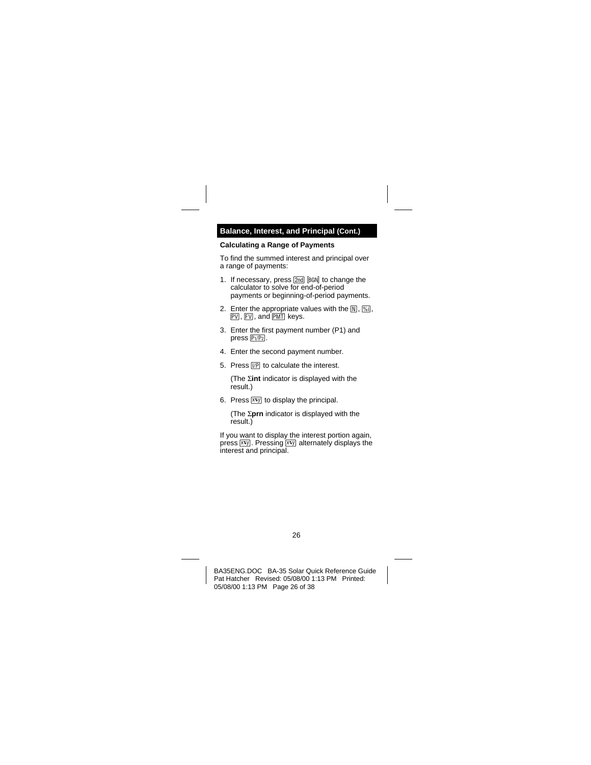## **Balance, Interest, and Principal (Cont.)**

### **Calculating a Range of Payments**

To find the summed interest and principal over a range of payments:

- 1. If necessary, press  $[2nd]$   $[BA]$  to change the calculator to solve for end-of-period payments or beginning-of-period payments.
- 2. Enter the appropriate values with the  $[N]$ ,  $[N]$ ,  $FV$ ,  $FV$ , and  $FV$  keys.
- 3. Enter the first payment number (P1) and  $press$   $P<sub>1</sub>/P<sub>2</sub>$ .
- 4. Enter the second payment number.
- 5. Press  $\Pi$  to calculate the interest.

(The  $\Sigma$ **int** indicator is displayed with the result.)

6. Press  $\overline{xy}$  to display the principal.

(The  $\Sigma$ **prn** indicator is displayed with the result.)

If you want to display the interest portion again, press  $\overline{x}$ . Pressing  $\overline{x}$ , alternately displays the interest and principal.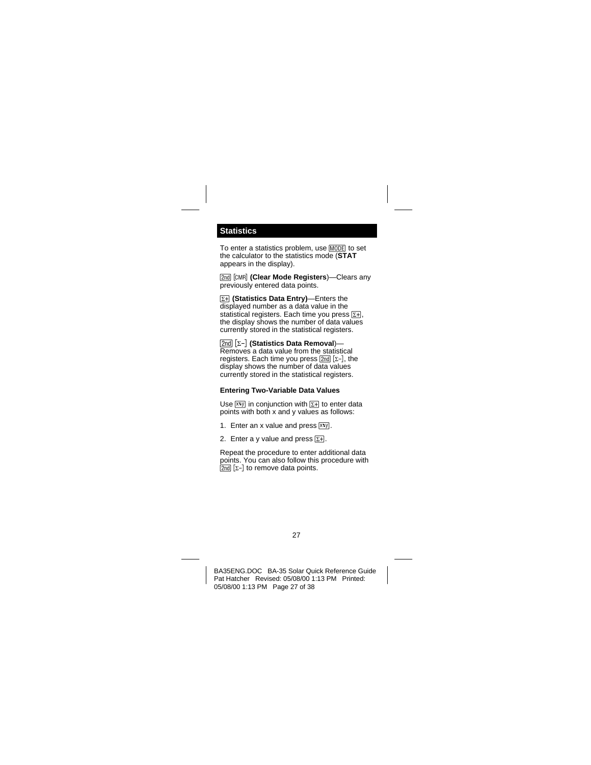# <span id="page-26-0"></span>**Statistics**

To enter a statistics problem, use MODE to set the calculator to the statistics mode (**STAT** appears in the display).

**[2nd]** [CMR] (Clear Mode Registers)—Clears any previously entered data points.

**[EH]** (Statistics Data Entry)—Enters the displayed number as a data value in the statistical registers. Each time you press  $\Sigma H$ . the display shows the number of data values currently stored in the statistical registers.

**[2nd] [∑-] (Statistics Data Removal)—** Removes a data value from the statistical registers. Each time you press  $[2nd]$  [ $\Sigma$ -], the display shows the number of data values currently stored in the statistical registers.

## **Entering Two-Variable Data Values**

Use  $\overline{xy}$  in conjunction with  $\overline{z+}$  to enter data points with both x and y values as follows:

- 1. Enter an x value and press  $\overline{x}$ .
- 2. Enter a y value and press  $\Sigma$ +.

Repeat the procedure to enter additional data points. You can also follow this procedure with  $\sqrt{2nd}$   $\sqrt{2}$  to remove data points.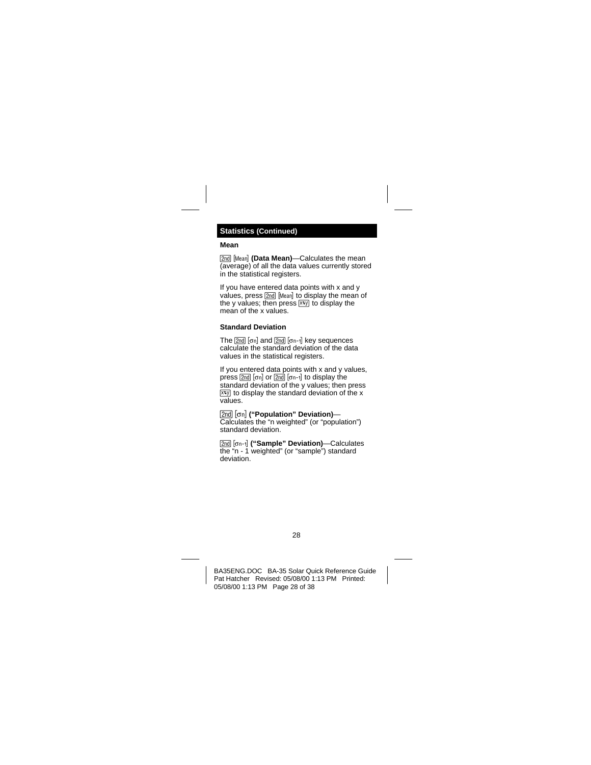## **Statistics (Continued)**

#### **Mean**

**2nd Mean (Data Mean)—Calculates the mean** (average) of all the data values currently stored in the statistical registers.

If you have entered data points with x and y values, press **2nd** Mean to display the mean of the y values; then press  $x \overline{y}$  to display the mean of the x values.

## **Standard Deviation**

The  $[2nd]$   $[\sigma n]$  and  $[2nd]$   $[\sigma n-1]$  key sequences calculate the standard deviation of the data values in the statistical registers.

If you entered data points with x and y values, press  $\boxed{2nd}$   $\boxed{on}$  or  $\boxed{2nd}$   $\boxed{on-1}$  to display the standard deviation of the y values; then press  $x \infty$  to display the standard deviation of the x values.

**[2nd]** [on] ("Population" Deviation)— Calculates the "n weighted" (or "population") standard deviation.

0x**("Sample" Deviation)**—Calculates the "n - 1 weighted" (or "sample") standard deviation.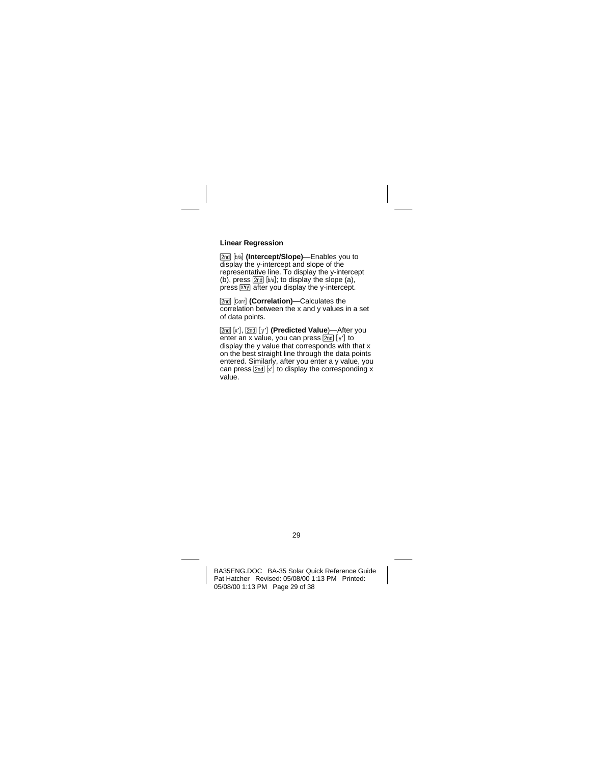## **Linear Regression**

[2nd] [b/a] (Intercept/Slope)—Enables you to display the y-intercept and slope of the representative line. To display the y-intercept (b), press  $\boxed{2nd}$   $[b/a]$ ; to display the slope (a), press  $\overline{x}$ y after you display the y-intercept.

**[2nd]** [Corr**il (Correlation)**—Calculates the correlation between the x and y values in a set of data points.

[2nd] [x<sup>-</sup>], [2nd] [y<sup>-</sup>] (Predicted Value)—After you enter an x value, you can press  $\frac{1}{2}$  or  $\frac{1}{2}$  to display the y value that corresponds with that x on the best straight line through the data points entered. Similarly, after you enter a y value, you can press  $[2nd]$  [x<sup>'</sup>] to display the corresponding x value.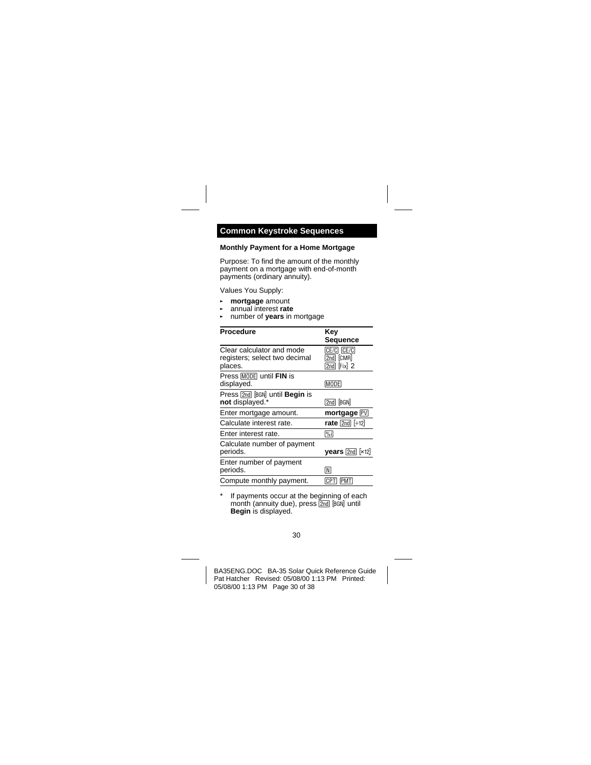## <span id="page-29-0"></span>**Common Keystroke Sequences**

#### **Monthly Payment for a Home Mortgage**

Purpose: To find the amount of the monthly payment on a mortgage with end-of-month payments (ordinary annuity).

Values You Supply:

- § **mortgage** amount
- § annual interest **rate**
- § number of **years** in mortgage

| <b>Procedure</b>                                                      | Kev<br>Sequence                             |
|-----------------------------------------------------------------------|---------------------------------------------|
| Clear calculator and mode<br>registers; select two decimal<br>places. | CE/C CE/C<br>2nd [CMR]<br>$[2nd]$ $[Fix]$ 2 |
| Press MODE until FIN is<br>displayed.                                 | <b>MODE</b>                                 |
| Press 2nd [BGN] until <b>Begin</b> is<br>not displayed.*              | <b>2nd BGN</b>                              |
| Enter mortgage amount.                                                | mortgage PV                                 |
| Calculate interest rate.                                              | rate $[2nd]$ $[412]$                        |
| Fnter interest rate.                                                  | $ \% $                                      |
| Calculate number of payment<br>periods.                               | <b>years</b> $\boxed{2nd}$ [ $\times$ 12]   |
| Enter number of payment<br>periods.                                   | M                                           |
| Compute monthly payment.                                              | [CPT]<br><b>PMT</b>                         |

If payments occur at the beginning of each month (annuity due), press 2nd [BGN] until **Begin** is displayed.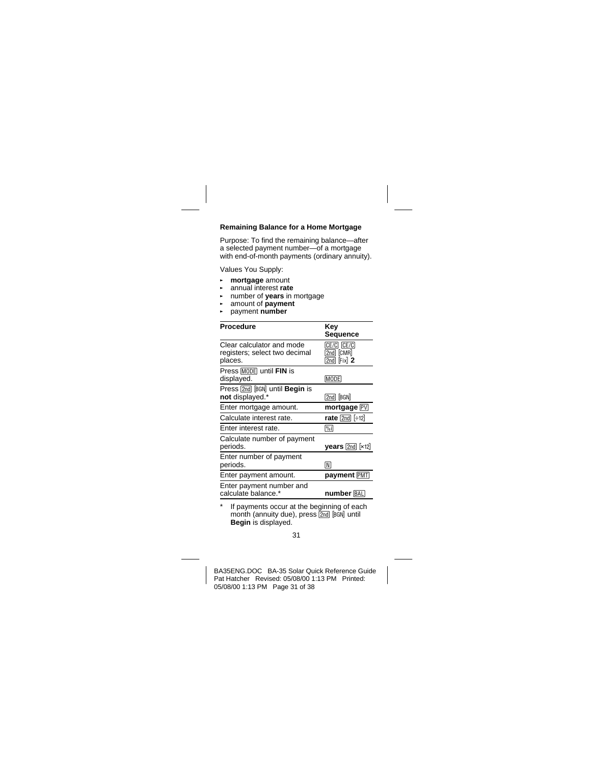## **Remaining Balance for a Home Mortgage**

Purpose: To find the remaining balance—after a selected payment number—of a mortgage with end-of-month payments (ordinary annuity).

Values You Supply:

- § **mortgage** amount
- § annual interest **rate**
- § number of **years** in mortgage
- § amount of **payment**
- § payment **number**

| <b>Procedure</b>                                                      | Key<br>Sequence                                                       |
|-----------------------------------------------------------------------|-----------------------------------------------------------------------|
| Clear calculator and mode<br>registers; select two decimal<br>places. | CE/C CE/C<br>$\sqrt{2}$ nd $\sqrt{2}$ $\sqrt{2}$<br>$[2nd]$ $[Fix]$ 2 |
| Press MODE until FIN is<br>displayed.                                 | MODE)                                                                 |
| Press 2nd BGN until <b>Begin</b> is<br>not displayed.*                | 2nd BGN                                                               |
| Enter mortgage amount.                                                | mortgage PV                                                           |
| Calculate interest rate.                                              | rate $[2nd]$ $[412]$                                                  |
| Enter interest rate.                                                  | $ \% $                                                                |
| Calculate number of payment<br>periods.                               | $\boldsymbol{y}$ ears $[2nd]$ $[x12]$                                 |
| Enter number of payment<br>periods.                                   | [N]                                                                   |
| Enter payment amount.                                                 | payment PMT                                                           |
| Enter payment number and<br>calculate balance.*                       | number [BAL]                                                          |

If payments occur at the beginning of each month (annuity due), press  $\overline{2nd}$   $\overline{BGM}$  until **Begin** is displayed.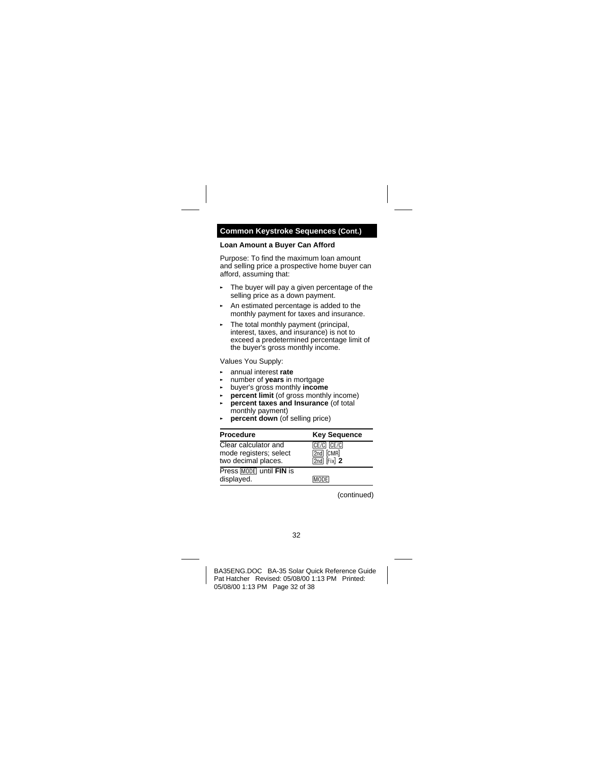## **Common Keystroke Sequences (Cont.)**

## **Loan Amount a Buyer Can Afford**

Purpose: To find the maximum loan amount and selling price a prospective home buyer can afford, assuming that:

- ► The buyer will pay a given percentage of the selling price as a down payment.
- ► An estimated percentage is added to the monthly payment for taxes and insurance.
- ► The total monthly payment (principal, interest, taxes, and insurance) is not to exceed a predetermined percentage limit of the buyer's gross monthly income.

Values You Supply:

- § annual interest **rate**
- § number of **years** in mortgage
- § buyer's gross monthly **income**
- § **percent limit** (of gross monthly income)
- § **percent taxes and Insurance** (of total monthly payment)
- § **percent down** (of selling price)

| <b>Procedure</b>                                                      | <b>Key Sequence</b>                              |
|-----------------------------------------------------------------------|--------------------------------------------------|
| Clear calculator and<br>mode registers; select<br>two decimal places. | CE/C CE/C<br>[2nd] [CMR]<br>$\sqrt{2nd}$ Fix $2$ |
| Press MODE until FIN is<br>displayed.                                 | <b>MODE</b>                                      |

(continued)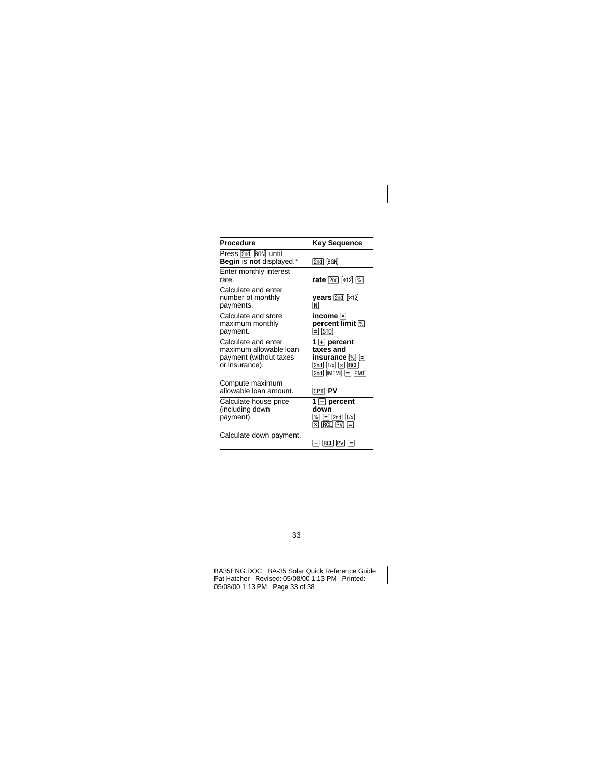| Procedure                                                                                 | <b>Key Sequence</b>                                                                                                        |
|-------------------------------------------------------------------------------------------|----------------------------------------------------------------------------------------------------------------------------|
| Press [2nd] [BGN] until<br>Begin is not displayed.*                                       | 2nd BGN                                                                                                                    |
| Enter monthly interest<br>rate.                                                           | rate $[2nd]$ $[412]$ $[%]$                                                                                                 |
| Calculate and enter<br>number of monthly<br>payments.                                     | $\boldsymbol{y}$ ears $[2nd]$ $[x12]$<br>[N]                                                                               |
| Calculate and store<br>maximum monthly<br>payment.                                        | income ⊠<br>percent limit M<br>$\boxdot$ $\boxdot$                                                                         |
| Calculate and enter<br>maximum allowable loan<br>payment (without taxes<br>or insurance). | 1 $\Box$ percent<br>taxes and<br>insurance [%] [=]<br>$[2nd]$ $[1/x]$ $\sqrt{x}$ $[RCL]$<br>$[2nd]$ $[MEM]$ $\Box$ $[PMT]$ |
| Compute maximum<br>allowable loan amount.                                                 | <b>CPTI PV</b>                                                                                                             |
| Calculate house price<br>(including down<br>payment).                                     | 1 $\Box$ percent<br>down<br>$\sqrt{\frac{1}{2}}$ $\sqrt{\frac{1}{x}}$<br>$\boxtimes$ RCLI PVI $\boxminus$                  |
| Calculate down payment.                                                                   | $[RCL] [PV] [-]$                                                                                                           |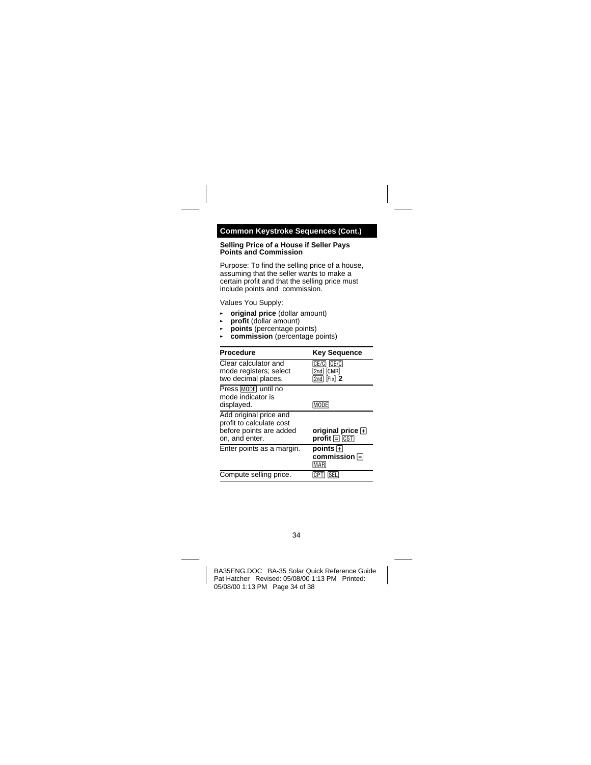## **Common Keystroke Sequences (Cont.)**

#### **Selling Price of a House if Seller Pays Points and Commission**

Purpose: To find the selling price of a house, assuming that the seller wants to make a certain profit and that the selling price must include points and commission.

Values You Supply:

- § **original price** (dollar amount)
- § **profit** (dollar amount)
- § **points** (percentage points)
- § **commission** (percentage points)

| <b>Procedure</b>                                                                                | <b>Key Sequence</b>                                     |
|-------------------------------------------------------------------------------------------------|---------------------------------------------------------|
| Clear calculator and<br>mode registers; select<br>two decimal places.                           | CE/C CE/C<br>$2nd$ $[CMR]$<br>$[2nd]$ $[Fix]$ 2         |
| Press MODE until no<br>mode indicator is<br>displayed.                                          | [MODE]                                                  |
| Add original price and<br>profit to calculate cost<br>before points are added<br>on, and enter. | original price $\Box$<br>$profit \sqcap \overline{CST}$ |
| Enter points as a margin.                                                                       | points <b>ਜ</b><br>commission ⊟<br>ÍMARÍ                |
| Compute selling price.                                                                          |                                                         |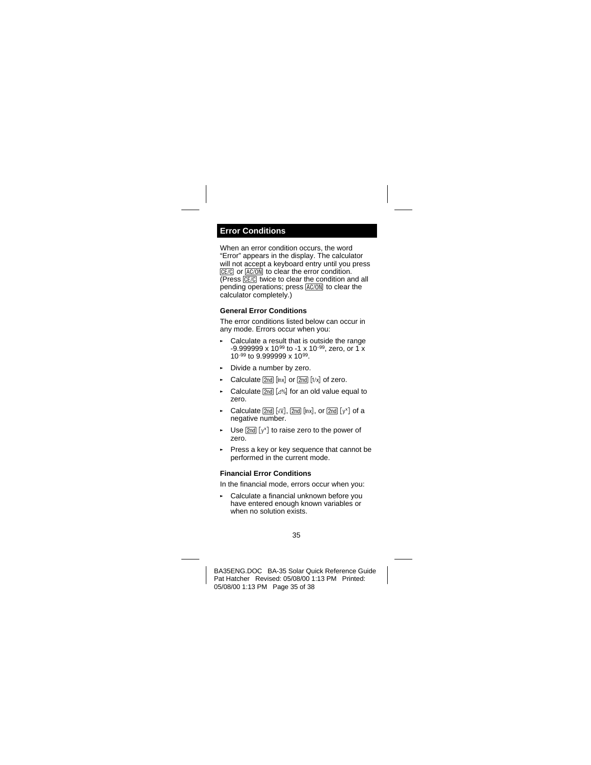## <span id="page-34-0"></span>**Error Conditions**

When an error condition occurs, the word "Error" appears in the display. The calculator will not accept a keyboard entry until you press  $E E / C$  or  $E E / O$  $N$  to clear the error condition.  $(Press  $\sqrt{CE/C}$ ) twice to clear the condition and all$ pending operations; press AC/ON to clear the calculator completely.)

### **General Error Conditions**

The error conditions listed below can occur in any mode. Errors occur when you:

- Calculate a result that is outside the range  $-9.9999999 \times 10^{99}$  to  $-1 \times 10^{-99}$ , zero, or 1 x 10-99 to 9.999999 x 1099.
- ► Divide a number by zero.
- $\blacktriangleright$  Calculate  $\boxed{2nd}$   $\boxed{lnx}$  or  $\boxed{2nd}$   $\boxed{1/x}$  of zero.
- $\blacktriangleright$  Calculate  $\boxed{2nd}$   $\boxed{4\%}$  for an old value equal to zero.
- Calculate  $[2nd] [\sqrt{x}]$ ,  $[2nd] [lnx]$ , or  $[2nd] [y^x]$  of a negative number.
- ► Use  $[2nd] [y^x]$  to raise zero to the power of zero.
- Press a key or key sequence that cannot be performed in the current mode.

## **Financial Error Conditions**

In the financial mode, errors occur when you:

Calculate a financial unknown before you have entered enough known variables or when no solution exists.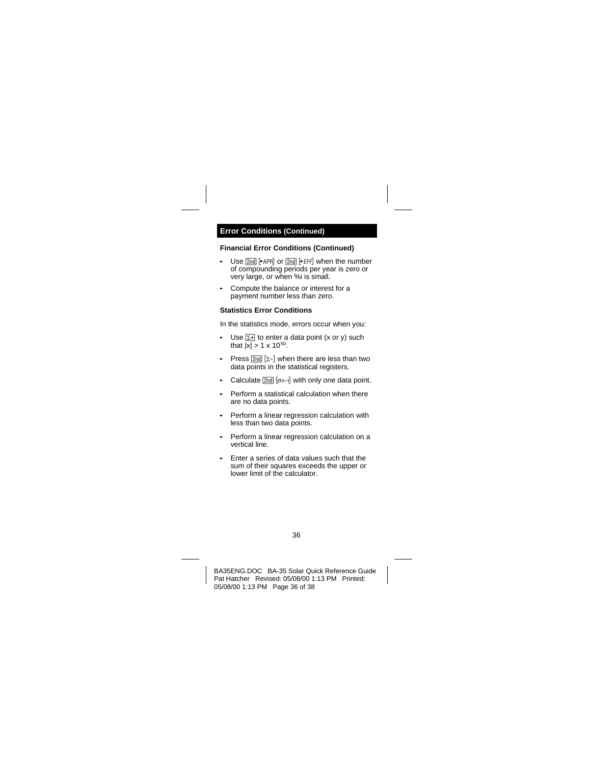## **Financial Error Conditions (Continued)**

- Use  $\sqrt{2nd}$   $\blacktriangleright$  APRI or  $\sqrt{2nd}$   $\blacktriangleright$  EFFI when the number of compounding periods per year is zero or very large, or when %i is small.
- § Compute the balance or interest for a payment number less than zero.

## **Statistics Error Conditions**

In the statistics mode, errors occur when you:

- Use  $\Sigma$ + to enter a data point (x or y) such that  $|\overline{x}| > 1 \times 10^{50}$ .
- Press  $\sqrt{2nd}$  [ $\Sigma$ -] when there are less than two data points in the statistical registers.
- Exports Calculate  $[2nd]$  [on-1] with only one data point.
- ► Perform a statistical calculation when there are no data points.
- ► Perform a linear regression calculation with less than two data points.
- ► Perform a linear regression calculation on a vertical line.
- § Enter a series of data values such that the sum of their squares exceeds the upper or lower limit of the calculator.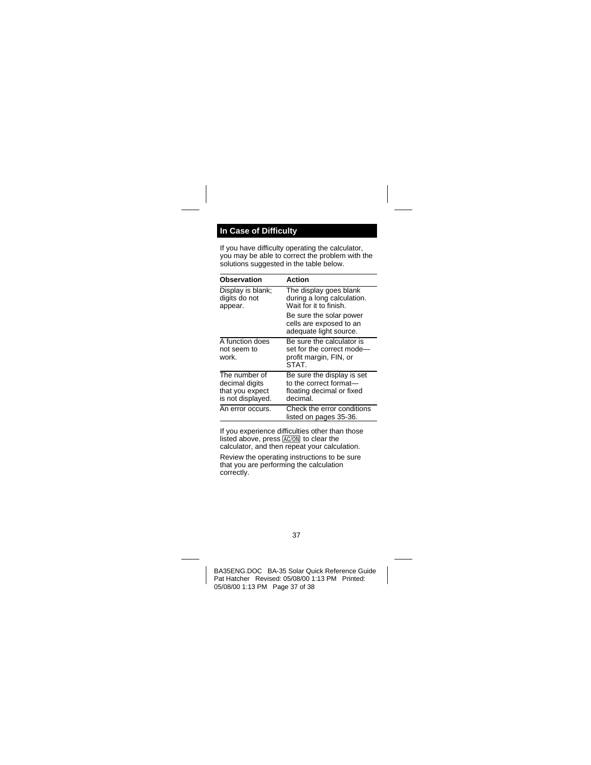# <span id="page-36-0"></span>**In Case of Difficulty**

If you have difficulty operating the calculator, you may be able to correct the problem with the solutions suggested in the table below.

| Observation                                                             | Action                                                                                        |
|-------------------------------------------------------------------------|-----------------------------------------------------------------------------------------------|
| Display is blank:<br>digits do not<br>appear.                           | The display goes blank<br>during a long calculation.<br>Wait for it to finish.                |
|                                                                         | Be sure the solar power<br>cells are exposed to an<br>adequate light source.                  |
| A function does<br>not seem to<br>work.                                 | Be sure the calculator is<br>set for the correct mode-<br>profit margin, FIN, or<br>STAT.     |
| The number of<br>decimal digits<br>that you expect<br>is not displayed. | Be sure the display is set<br>to the correct format—<br>floating decimal or fixed<br>decimal. |
| An error occurs.                                                        | Check the error conditions<br>listed on pages 35-36.                                          |

If you experience difficulties other than those listed above, press  $AC/ON$  to clear the calculator, and then repeat your calculation.

Review the operating instructions to be sure that you are performing the calculation correctly.